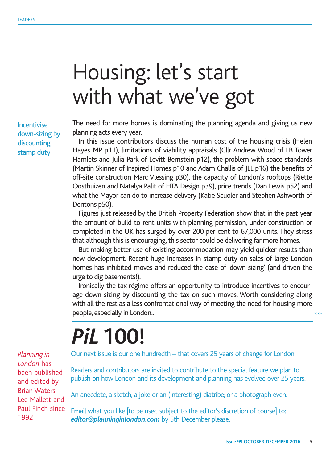## Housing: let's start with what we've got

Incentivise down-sizing by discounting stamp duty

The need for more homes is dominating the planning agenda and giving us new planning acts every year.

In this issue contributors discuss the human cost of the housing crisis (Helen Hayes MP p11), limitations of viability appraisals (Cllr Andrew Wood of LB Tower Hamlets and Julia Park of Levitt Bernstein p12), the problem with space standards (Martin Skinner of Inspired Homes p10 and Adam Challis of JLL p16) the benefits of off-site construction Marc Vlessing p30), the capacity of London's rooftops (Riëtte Oosthuizen and Natalya Palit of HTA Design p39), price trends (Dan Lewis p52) and what the Mayor can do to increase delivery (Katie Scuoler and Stephen Ashworth of Dentons p50).

Figures just released by the British Property Federation show that in the past year the amount of build-to-rent units with planning permission, under construction or completed in the UK has surged by over 200 per cent to 67,000 units. They stress that although this is encouraging, this sector could be delivering far more homes.

But making better use of existing accommodation may yield quicker results than new development. Recent huge increases in stamp duty on sales of large London homes has inhibited moves and reduced the ease of 'down-sizing' (and driven the urge to dig basements!).

Ironically the tax régime offers an opportunity to introduce incentives to encourage down-sizing by discounting the tax on such moves. Worth considering along with all the rest as a less confrontational way of meeting the need for housing more people, especially in London.. >>>

## *PiL* **100!**

Our next issue is our one hundredth – that covers 25 years of change for London.

Readers and contributors are invited to contribute to the special feature we plan to publish on how London and its development and planning has evolved over 25 years.

An anecdote, a sketch, a joke or an (interesting) diatribe; or a photograph even.

Email what you like [to be used subject to the editor's discretion of course] to: *editor@planninginlondon.com* by 5th December please.

*Planning in London* has been published and edited by Brian Waters, Lee Mallett and Paul Finch since 1992